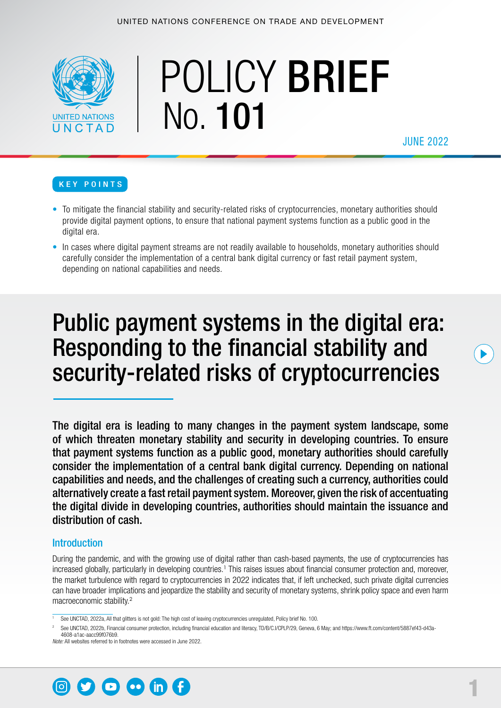

# POLICY BRIEF No. 101

JUNE 2022

#### KEY POINTS

- To mitigate the financial stability and security-related risks of cryptocurrencies, monetary authorities should provide digital payment options, to ensure that national payment systems function as a public good in the digital era.
- In cases where digital payment streams are not readily available to households, monetary authorities should carefully consider the implementation of a central bank digital currency or fast retail payment system, depending on national capabilities and needs.

## Public payment systems in the digital era: Responding to the financial stability and security-related risks of cryptocurrencies

The digital era is leading to many changes in the payment system landscape, some of which threaten monetary stability and security in developing countries. To ensure that payment systems function as a public good, monetary authorities should carefully consider the implementation of a central bank digital currency. Depending on national capabilities and needs, and the challenges of creating such a currency, authorities could alternatively create a fast retail payment system. Moreover, given the risk of accentuating the digital divide in developing countries, authorities should maintain the issuance and distribution of cash.

#### **Introduction**

During the pandemic, and with the growing use of digital rather than cash-based payments, the use of cryptocurrencies has increased globally, particularly in developing countries.<sup>1</sup> This raises issues about financial consumer protection and, moreover, the market turbulence with regard to cryptocurrencies in 2022 indicates that, if left unchecked, such private digital currencies can have broader implications and jeopardize the stability and security of monetary systems, shrink policy space and even harm macroeconomic stability.<sup>2</sup>

<sup>2</sup> See UNCTAD, 2022b, Financial consumer protection, including financial education and literacy, TD/B/C.I/CPLP/29, Geneva, 6 May; and [https://www.ft.com/content/5887ef43-d43a-](https://www.ft.com/content/5887ef43-d43a-4608-a1ac-aacc99f076b9)[4608-a1ac-aacc99f076b9](https://www.ft.com/content/5887ef43-d43a-4608-a1ac-aacc99f076b9).

*Note:* All websites referred to in footnotes were accessed in June 2022.



See UNCTAD, 2022a, All that glitters is not gold: The high cost of leaving cryptocurrencies unregulated, Policy brief No. 100.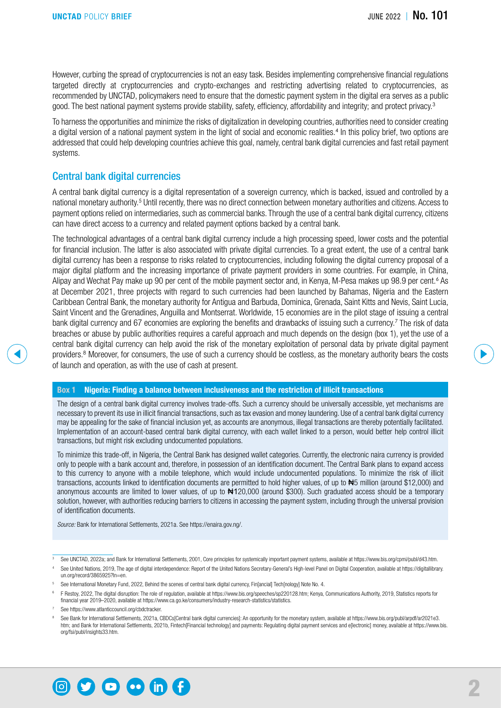However, curbing the spread of cryptocurrencies is not an easy task. Besides implementing comprehensive financial regulations targeted directly at cryptocurrencies and crypto-exchanges and restricting advertising related to cryptocurrencies, as recommended by UNCTAD, policymakers need to ensure that the domestic payment system in the digital era serves as a public good. The best national payment systems provide stability, safety, efficiency, affordability and integrity; and protect privacy.<sup>3</sup>

To harness the opportunities and minimize the risks of digitalization in developing countries, authorities need to consider creating a digital version of a national payment system in the light of social and economic realities.<sup>4</sup> In this policy brief, two options are addressed that could help developing countries achieve this goal, namely, central bank digital currencies and fast retail payment systems.

#### Central bank digital currencies

A central bank digital currency is a digital representation of a sovereign currency, which is backed, issued and controlled by a national monetary authority.<sup>5</sup> Until recently, there was no direct connection between monetary authorities and citizens. Access to payment options relied on intermediaries, such as commercial banks. Through the use of a central bank digital currency, citizens can have direct access to a currency and related payment options backed by a central bank.

The technological advantages of a central bank digital currency include a high processing speed, lower costs and the potential for financial inclusion. The latter is also associated with private digital currencies. To a great extent, the use of a central bank digital currency has been a response to risks related to cryptocurrencies, including following the digital currency proposal of a major digital platform and the increasing importance of private payment providers in some countries. For example, in China, Alipay and Wechat Pay make up 90 per cent of the mobile payment sector and, in Kenya, M-Pesa makes up 98.9 per cent.<sup>6</sup> As at December 2021, three projects with regard to such currencies had been launched by Bahamas, Nigeria and the Eastern Caribbean Central Bank, the monetary authority for Antigua and Barbuda, Dominica, Grenada, Saint Kitts and Nevis, Saint Lucia, Saint Vincent and the Grenadines, Anguilla and Montserrat. Worldwide, 15 economies are in the pilot stage of issuing a central bank digital currency and 67 economies are exploring the benefits and drawbacks of issuing such a currency.<sup>7</sup> The risk of data breaches or abuse by public authorities requires a careful approach and much depends on the design (box 1), yet the use of a central bank digital currency can help avoid the risk of the monetary exploitation of personal data by private digital payment providers.<sup>8</sup> Moreover, for consumers, the use of such a currency should be costless, as the monetary authority bears the costs of launch and operation, as with the use of cash at present.

#### Box 1 Nigeria: Finding a balance between inclusiveness and the restriction of illicit transactions

The design of a central bank digital currency involves trade-offs. Such a currency should be universally accessible, yet mechanisms are necessary to prevent its use in illicit financial transactions, such as tax evasion and money laundering. Use of a central bank digital currency may be appealing for the sake of financial inclusion yet, as accounts are anonymous, illegal transactions are thereby potentially facilitated. Implementation of an account-based central bank digital currency, with each wallet linked to a person, would better help control illicit transactions, but might risk excluding undocumented populations.

To minimize this trade-off, in Nigeria, the Central Bank has designed wallet categories. Currently, the electronic naira currency is provided only to people with a bank account and, therefore, in possession of an identification document. The Central Bank plans to expand access to this currency to anyone with a mobile telephone, which would include undocumented populations. To minimize the risk of illicit transactions, accounts linked to identification documents are permitted to hold higher values, of up to <sup>#5</sup> million (around \$12,000) and anonymous accounts are limited to lower values, of up to  $\text{H120,000}$  (around \$300). Such graduated access should be a temporary solution, however, with authorities reducing barriers to citizens in accessing the payment system, including through the universal provision of identification documents.

*Source:* Bank for International Settlements, 2021a. See <https://enaira.gov.ng/>.



<sup>&</sup>lt;sup>3</sup> See UNCTAD, 2022a; and Bank for International Settlements, 2001, Core principles for systemically important payment systems, available at <https://www.bis.org/cpmi/publ/d43.htm>.

See United Nations, 2019. The age of digital interdependence: Report of the United Nations Secretary-General's High-level Panel on Digital Cooperation, available at [https://digitallibrary.](https://digitallibrary.un.org/record/3865925?ln=en) [un.org/record/3865925?ln=en](https://digitallibrary.un.org/record/3865925?ln=en).

<sup>5</sup> See International Monetary Fund, 2022, Behind the scenes of central bank digital currency, Fin[ancial] Tech[nology] Note No. 4.

<sup>6</sup> F Restoy, 2022, The digital disruption: The role of regulation, available at<https://www.bis.org/speeches/sp220128.htm>; Kenya, Communications Authority, 2019, Statistics reports for financial year 2019–2020, available at [https://www.ca.go.ke/consumers/industry-research-statistics/statistics.](https://www.ca.go.ke/consumers/industry-research-statistics/statistics)

See [https://www.atlanticcouncil.org/cbdctracker.](https://www.atlanticcouncil.org/cbdctracker)

See Bank for International Settlements, 2021a, CBDCs[Central bank digital currencies]: An opportunity for the monetary system, available at [https://www.bis.org/publ/arpdf/ar2021e3.](https://www.bis.org/publ/arpdf/ar2021e3.htm) [htm;](https://www.bis.org/publ/arpdf/ar2021e3.htm) and Bank for International Settlements, 2021b, Fintech[Financial technology] and payments: Regulating digital payment services and e[lectronic] money, available at [https://www.bis.](https://www.bis.org/fsi/publ/insights33.htm) [org/fsi/publ/insights33.htm.](https://www.bis.org/fsi/publ/insights33.htm)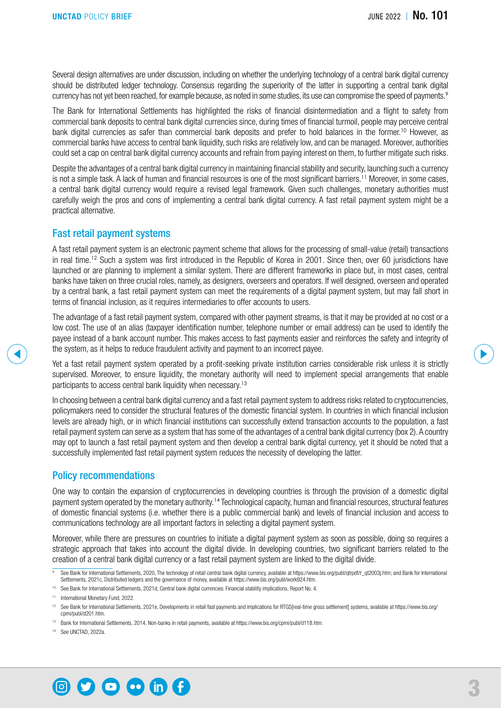Several design alternatives are under discussion, including on whether the underlying technology of a central bank digital currency should be distributed ledger technology. Consensus regarding the superiority of the latter in supporting a central bank digital currency has not yet been reached, for example because, as noted in some studies, its use can compromise the speed of payments.<sup>9</sup>

The Bank for International Settlements has highlighted the risks of financial disintermediation and a flight to safety from commercial bank deposits to central bank digital currencies since, during times of financial turmoil, people may perceive central bank digital currencies as safer than commercial bank deposits and prefer to hold balances in the former.<sup>10</sup> However, as commercial banks have access to central bank liquidity, such risks are relatively low, and can be managed. Moreover, authorities could set a cap on central bank digital currency accounts and refrain from paying interest on them, to further mitigate such risks.

Despite the advantages of a central bank digital currency in maintaining financial stability and security, launching such a currency is not a simple task. A lack of human and financial resources is one of the most significant barriers.<sup>11</sup> Moreover, in some cases, a central bank digital currency would require a revised legal framework. Given such challenges, monetary authorities must carefully weigh the pros and cons of implementing a central bank digital currency. A fast retail payment system might be a practical alternative.

#### Fast retail payment systems

A fast retail payment system is an electronic payment scheme that allows for the processing of small-value (retail) transactions in real time.12 Such a system was first introduced in the Republic of Korea in 2001. Since then, over 60 jurisdictions have launched or are planning to implement a similar system. There are different frameworks in place but, in most cases, central banks have taken on three crucial roles, namely, as designers, overseers and operators. If well designed, overseen and operated by a central bank, a fast retail payment system can meet the requirements of a digital payment system, but may fall short in terms of financial inclusion, as it requires intermediaries to offer accounts to users.

The advantage of a fast retail payment system, compared with other payment streams, is that it may be provided at no cost or a low cost. The use of an alias (taxpayer identification number, telephone number or email address) can be used to identify the payee instead of a bank account number. This makes access to fast payments easier and reinforces the safety and integrity of the system, as it helps to reduce fraudulent activity and payment to an incorrect payee.

Yet a fast retail payment system operated by a profit-seeking private institution carries considerable risk unless it is strictly supervised. Moreover, to ensure liquidity, the monetary authority will need to implement special arrangements that enable participants to access central bank liquidity when necessary.<sup>13</sup>

In choosing between a central bank digital currency and a fast retail payment system to address risks related to cryptocurrencies, policymakers need to consider the structural features of the domestic financial system. In countries in which financial inclusion levels are already high, or in which financial institutions can successfully extend transaction accounts to the population, a fast retail payment system can serve as a system that has some of the advantages of a central bank digital currency (box 2). A country may opt to launch a fast retail payment system and then develop a central bank digital currency, yet it should be noted that a successfully implemented fast retail payment system reduces the necessity of developing the latter.

#### Policy recommendations

One way to contain the expansion of cryptocurrencies in developing countries is through the provision of a domestic digital payment system operated by the monetary authority.14 Technological capacity, human and financial resources, structural features of domestic financial systems (i.e. whether there is a public commercial bank) and levels of financial inclusion and access to communications technology are all important factors in selecting a digital payment system.

Moreover, while there are pressures on countries to initiate a digital payment system as soon as possible, doing so requires a strategic approach that takes into account the digital divide. In developing countries, two significant barriers related to the creation of a central bank digital currency or a fast retail payment system are linked to the digital divide.

10 See Bank for International Settlements, 2021d, Central bank digital currencies: Financial stability implications, Report No. 4.

<sup>14</sup> See UNCTAD, 2022a.



See Bank for International Settlements, 2020, The technology of retail central bank digital currency, available at [https://www.bis.org/publ/qtrpdf/r\\_qt2003j.htm](https://www.bis.org/publ/qtrpdf/r_qt2003j.htm); and Bank for International Settlements, 2021c, Distributed ledgers and the governance of money, available at<https://www.bis.org/publ/work924.htm>.

<sup>11</sup> International Monetary Fund, 2022.

<sup>&</sup>lt;sup>12</sup> See Bank for International Settlements, 2021e, Developments in retail fast payments and implications for RTGS[real-time gross settlement] systems, available at [https://www.bis.org/](https://www.bis.org/cpmi/publ/d201.htm) [cpmi/publ/d201.htm](https://www.bis.org/cpmi/publ/d201.htm).

<sup>13</sup> Bank for International Settlements, 2014, Non-banks in retail payments, available at [https://www.bis.org/cpmi/publ/d118.htm.](https://www.bis.org/cpmi/publ/d118.htm)